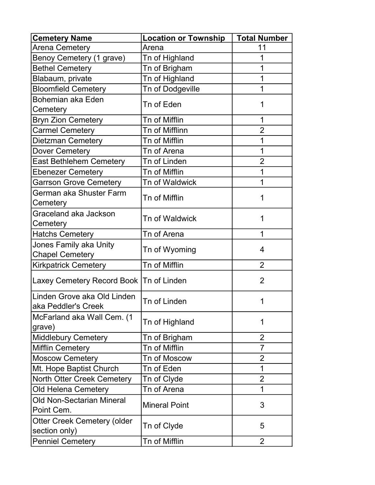| <b>Cemetery Name</b>               | <b>Location or Township</b> | <b>Total Number</b> |
|------------------------------------|-----------------------------|---------------------|
| Arena Cemetery                     | Arena                       | 11                  |
| Benoy Cemetery (1 grave)           | Tn of Highland              | 1                   |
| <b>Bethel Cemetery</b>             | Tn of Brigham               | 1                   |
| Blabaum, private                   | Tn of Highland              | 1                   |
| <b>Bloomfield Cemetery</b>         | Tn of Dodgeville            | 1                   |
| Bohemian aka Eden                  | Tn of Eden                  | 1                   |
| Cemetery                           |                             |                     |
| <b>Bryn Zion Cemetery</b>          | Tn of Mifflin               | 1                   |
| <b>Carmel Cemetery</b>             | Tn of Mifflinn              | $\overline{2}$      |
| <b>Dietzman Cemetery</b>           | Tn of Mifflin               | 1                   |
| <b>Dover Cemetery</b>              | Tn of Arena                 | 1                   |
| <b>East Bethlehem Cemetery</b>     | Tn of Linden                | $\overline{2}$      |
| <b>Ebenezer Cemetery</b>           | Tn of Mifflin               | 1                   |
| <b>Garrson Grove Cemetery</b>      | Tn of Waldwick              | 1                   |
| German aka Shuster Farm            | Tn of Mifflin               | 1                   |
| Cemetery                           |                             |                     |
| Graceland aka Jackson              | Tn of Waldwick              | 1                   |
| Cemetery                           |                             |                     |
| <b>Hatchs Cemetery</b>             | Tn of Arena                 | 1                   |
| Jones Family aka Unity             | Tn of Wyoming               | $\overline{4}$      |
| <b>Chapel Cemetery</b>             |                             |                     |
| <b>Kirkpatrick Cemetery</b>        | Tn of Mifflin               | $\overline{2}$      |
| Laxey Cemetery Record Book         | Tn of Linden                | $\overline{2}$      |
| Linden Grove aka Old Linden        | Tn of Linden                | 1                   |
| aka Peddler's Creek                |                             |                     |
| McFarland aka Wall Cem. (1         | Tn of Highland              | 1                   |
| grave)                             |                             |                     |
| <b>Middlebury Cemetery</b>         | Tn of Brigham               | $\overline{2}$      |
| <b>Mifflin Cemetery</b>            | Tn of Mifflin               | $\overline{7}$      |
| <b>Moscow Cemetery</b>             | Tn of Moscow                | $\overline{2}$      |
| Mt. Hope Baptist Church            | Tn of Eden                  | 1                   |
| North Otter Creek Cemetery         | Tn of Clyde                 | $\overline{2}$      |
| Old Helena Cemetery                | Tn of Arena                 | 1                   |
| <b>Old Non-Sectarian Mineral</b>   | <b>Mineral Point</b>        | 3                   |
| Point Cem.                         |                             |                     |
| <b>Otter Creek Cemetery (older</b> | Tn of Clyde                 | 5                   |
| section only)                      |                             |                     |
| <b>Penniel Cemetery</b>            | Tn of Mifflin               | $\overline{2}$      |